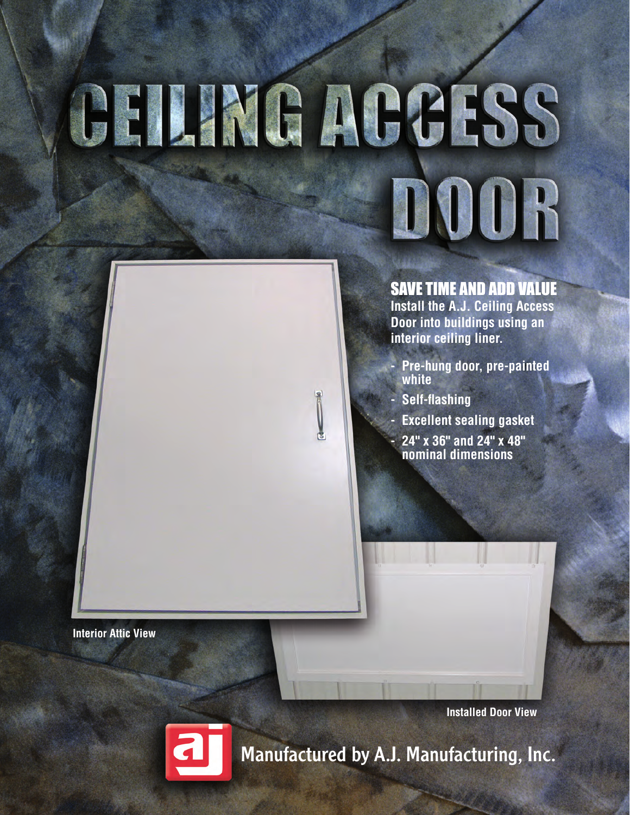# GHLING MGCLSS DOOR

#### SAVE TIME AND ADD VALUE

**Install the A.J. Ceiling Access Door into buildings using an interior ceiling liner.**

- **- Pre-hung door, pre-painted white**
- **- Self-flashing**
- **- Excellent sealing gasket**
- **- 24" x 36" and 24" x 48" nominal dimensions**

**Interior Attic View**

**Installed Door View**



Manufactured by A.J. Manufacturing, Inc.